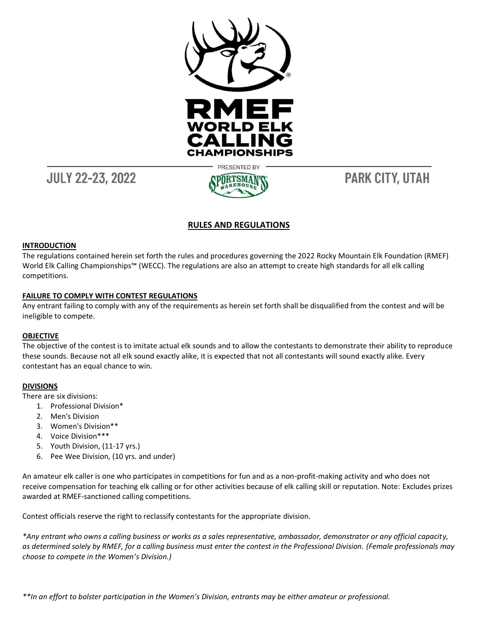

## **JULY 22-23, 2022**

# **PARK CITY, UTAH**

## **RULES AND REGULATIONS**

## **INTRODUCTION**

The regulations contained herein set forth the rules and procedures governing the 2022 Rocky Mountain Elk Foundation (RMEF) World Elk Calling Championships™ (WECC). The regulations are also an attempt to create high standards for all elk calling competitions.

## **FAILURE TO COMPLY WITH CONTEST REGULATIONS**

Any entrant failing to comply with any of the requirements as herein set forth shall be disqualified from the contest and will be ineligible to compete.

#### **OBJECTIVE**

The objective of the contest is to imitate actual elk sounds and to allow the contestants to demonstrate their ability to reproduce these sounds. Because not all elk sound exactly alike, it is expected that not all contestants will sound exactly alike. Every contestant has an equal chance to win.

## **DIVISIONS**

There are six divisions:

- 1. Professional Division\*
- 2. Men's Division
- 3. Women's Division\*\*
- 4. Voice Division\*\*\*
- 5. Youth Division, (11-17 yrs.)
- 6. Pee Wee Division, (10 yrs. and under)

An amateur elk caller is one who participates in competitions for fun and as a non-profit-making activity and who does not receive compensation for teaching elk calling or for other activities because of elk calling skill or reputation. Note: Excludes prizes awarded at RMEF-sanctioned calling competitions.

Contest officials reserve the right to reclassify contestants for the appropriate division.

*\*Any entrant who owns a calling business or works as a sales representative, ambassador, demonstrator or any official capacity, as determined solely by RMEF, for a calling business must enter the contest in the Professional Division. (Female professionals may choose to compete in the Women's Division.)*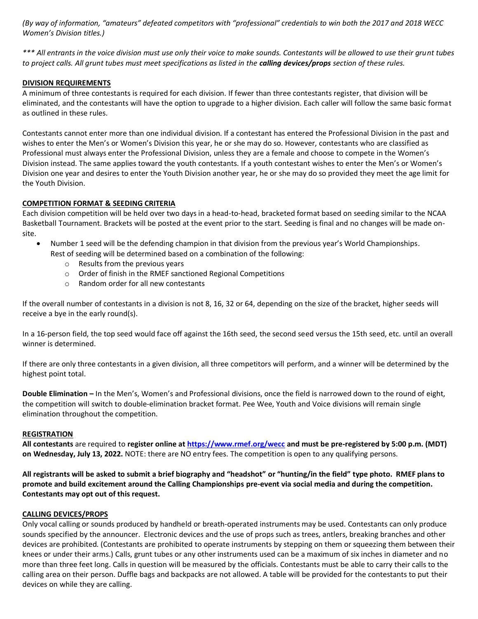*(By way of information, "amateurs" defeated competitors with "professional" credentials to win both the 2017 and 2018 WECC Women's Division titles.)*

*\*\*\* All entrants in the voice division must use only their voice to make sounds. Contestants will be allowed to use their grunt tubes*  to project calls. All grunt tubes must meet specifications as listed in the **calling devices/props** section of these rules.

## **DIVISION REQUIREMENTS**

A minimum of three contestants is required for each division. If fewer than three contestants register, that division will be eliminated, and the contestants will have the option to upgrade to a higher division. Each caller will follow the same basic format as outlined in these rules.

Contestants cannot enter more than one individual division. If a contestant has entered the Professional Division in the past and wishes to enter the Men's or Women's Division this year, he or she may do so. However, contestants who are classified as Professional must always enter the Professional Division, unless they are a female and choose to compete in the Women's Division instead. The same applies toward the youth contestants. If a youth contestant wishes to enter the Men's or Women's Division one year and desires to enter the Youth Division another year, he or she may do so provided they meet the age limit for the Youth Division.

## **COMPETITION FORMAT & SEEDING CRITERIA**

Each division competition will be held over two days in a head-to-head, bracketed format based on seeding similar to the NCAA Basketball Tournament. Brackets will be posted at the event prior to the start. Seeding is final and no changes will be made onsite.

- Number 1 seed will be the defending champion in that division from the previous year's World Championships.
	- Rest of seeding will be determined based on a combination of the following:
		- o Results from the previous years
		- o Order of finish in the RMEF sanctioned Regional Competitions
		- o Random order for all new contestants

If the overall number of contestants in a division is not 8, 16, 32 or 64, depending on the size of the bracket, higher seeds will receive a bye in the early round(s).

In a 16-person field, the top seed would face off against the 16th seed, the second seed versus the 15th seed, etc. until an overall winner is determined.

If there are only three contestants in a given division, all three competitors will perform, and a winner will be determined by the highest point total.

**Double Elimination –** In the Men's, Women's and Professional divisions, once the field is narrowed down to the round of eight, the competition will switch to double-elimination bracket format. Pee Wee, Youth and Voice divisions will remain single elimination throughout the competition.

#### **REGISTRATION**

**All contestants** are required to **register online a[t https://www.rmef.org/wecc](https://www.rmef.org/events/wecc) and must be pre-registered by 5:00 p.m. (MDT) on Wednesday, July 13, 2022.** NOTE: there are NO entry fees. The competition is open to any qualifying persons.

**All registrants will be asked to submit a brief biography and "headshot" or "hunting/in the field" type photo. RMEF plans to promote and build excitement around the Calling Championships pre-event via social media and during the competition. Contestants may opt out of this request.**

#### **CALLING DEVICES/PROPS**

Only vocal calling or sounds produced by handheld or breath-operated instruments may be used. Contestants can only produce sounds specified by the announcer. Electronic devices and the use of props such as trees, antlers, breaking branches and other devices are prohibited. (Contestants are prohibited to operate instruments by stepping on them or squeezing them between their knees or under their arms.) Calls, grunt tubes or any other instruments used can be a maximum of six inches in diameter and no more than three feet long. Calls in question will be measured by the officials. Contestants must be able to carry their calls to the calling area on their person. Duffle bags and backpacks are not allowed. A table will be provided for the contestants to put their devices on while they are calling.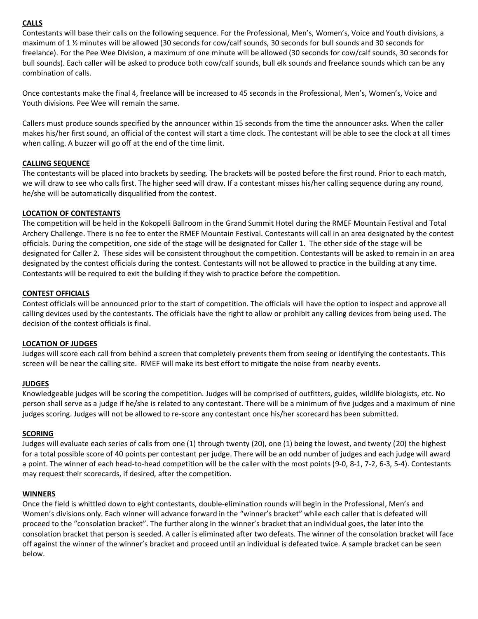## **CALLS**

Contestants will base their calls on the following sequence. For the Professional, Men's, Women's, Voice and Youth divisions, a maximum of 1 ½ minutes will be allowed (30 seconds for cow/calf sounds, 30 seconds for bull sounds and 30 seconds for freelance). For the Pee Wee Division, a maximum of one minute will be allowed (30 seconds for cow/calf sounds, 30 seconds for bull sounds). Each caller will be asked to produce both cow/calf sounds, bull elk sounds and freelance sounds which can be any combination of calls.

Once contestants make the final 4, freelance will be increased to 45 seconds in the Professional, Men's, Women's, Voice and Youth divisions. Pee Wee will remain the same.

Callers must produce sounds specified by the announcer within 15 seconds from the time the announcer asks. When the caller makes his/her first sound, an official of the contest will start a time clock. The contestant will be able to see the clock at all times when calling. A buzzer will go off at the end of the time limit.

## **CALLING SEQUENCE**

The contestants will be placed into brackets by seeding. The brackets will be posted before the first round. Prior to each match, we will draw to see who calls first. The higher seed will draw. If a contestant misses his/her calling sequence during any round, he/she will be automatically disqualified from the contest.

## **LOCATION OF CONTESTANTS**

The competition will be held in the Kokopelli Ballroom in the Grand Summit Hotel during the RMEF Mountain Festival and Total Archery Challenge. There is no fee to enter the RMEF Mountain Festival. Contestants will call in an area designated by the contest officials. During the competition, one side of the stage will be designated for Caller 1. The other side of the stage will be designated for Caller 2. These sides will be consistent throughout the competition. Contestants will be asked to remain in an area designated by the contest officials during the contest. Contestants will not be allowed to practice in the building at any time. Contestants will be required to exit the building if they wish to practice before the competition.

## **CONTEST OFFICIALS**

Contest officials will be announced prior to the start of competition. The officials will have the option to inspect and approve all calling devices used by the contestants. The officials have the right to allow or prohibit any calling devices from being used. The decision of the contest officials is final.

## **LOCATION OF JUDGES**

Judges will score each call from behind a screen that completely prevents them from seeing or identifying the contestants. This screen will be near the calling site. RMEF will make its best effort to mitigate the noise from nearby events.

## **JUDGES**

Knowledgeable judges will be scoring the competition. Judges will be comprised of outfitters, guides, wildlife biologists, etc. No person shall serve as a judge if he/she is related to any contestant. There will be a minimum of five judges and a maximum of nine judges scoring. Judges will not be allowed to re-score any contestant once his/her scorecard has been submitted.

#### **SCORING**

Judges will evaluate each series of calls from one (1) through twenty (20), one (1) being the lowest, and twenty (20) the highest for a total possible score of 40 points per contestant per judge. There will be an odd number of judges and each judge will award a point. The winner of each head-to-head competition will be the caller with the most points (9-0, 8-1, 7-2, 6-3, 5-4). Contestants may request their scorecards, if desired, after the competition.

#### **WINNERS**

Once the field is whittled down to eight contestants, double-elimination rounds will begin in the Professional, Men's and Women's divisions only. Each winner will advance forward in the "winner's bracket" while each caller that is defeated will proceed to the "consolation bracket". The further along in the winner's bracket that an individual goes, the later into the consolation bracket that person is seeded. A caller is eliminated after two defeats. The winner of the consolation bracket will face off against the winner of the winner's bracket and proceed until an individual is defeated twice. A sample bracket can be seen below.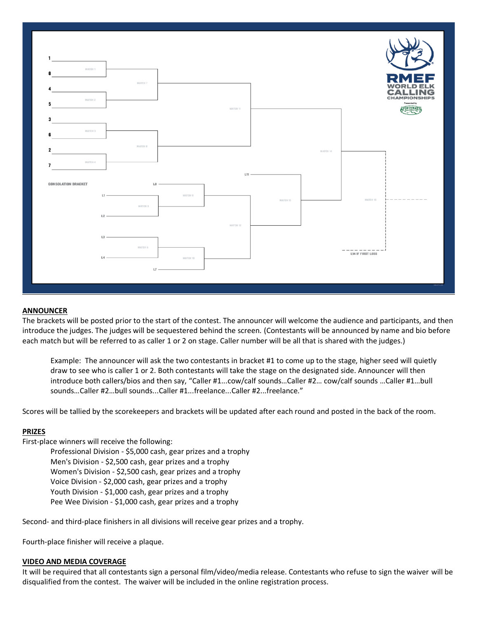

#### **ANNOUNCER**

The brackets will be posted prior to the start of the contest. The announcer will welcome the audience and participants, and then introduce the judges. The judges will be sequestered behind the screen. (Contestants will be announced by name and bio before each match but will be referred to as caller 1 or 2 on stage. Caller number will be all that is shared with the judges.)

Example: The announcer will ask the two contestants in bracket #1 to come up to the stage, higher seed will quietly draw to see who is caller 1 or 2. Both contestants will take the stage on the designated side. Announcer will then introduce both callers/bios and then say, "Caller #1...cow/calf sounds…Caller #2… cow/calf sounds …Caller #1…bull sounds…Caller #2…bull sounds...Caller #1...freelance...Caller #2...freelance."

Scores will be tallied by the scorekeepers and brackets will be updated after each round and posted in the back of the room.

#### **PRIZES**

First-place winners will receive the following:

Professional Division - \$5,000 cash, gear prizes and a trophy Men's Division - \$2,500 cash, gear prizes and a trophy Women's Division - \$2,500 cash, gear prizes and a trophy Voice Division - \$2,000 cash, gear prizes and a trophy Youth Division - \$1,000 cash, gear prizes and a trophy Pee Wee Division - \$1,000 cash, gear prizes and a trophy

Second- and third-place finishers in all divisions will receive gear prizes and a trophy.

Fourth-place finisher will receive a plaque.

#### **VIDEO AND MEDIA COVERAGE**

It will be required that all contestants sign a personal film/video/media release. Contestants who refuse to sign the waiver will be disqualified from the contest. The waiver will be included in the online registration process.